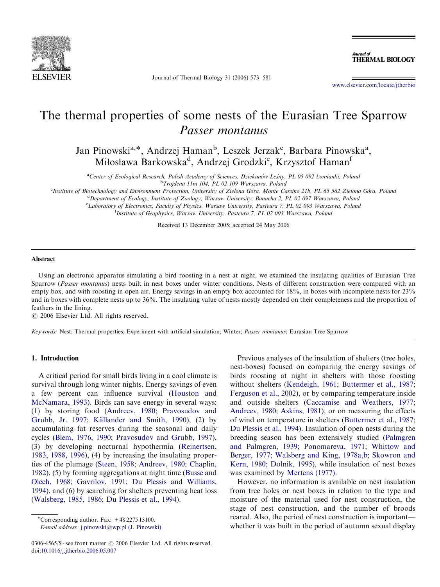

Journal of Thermal Biology 31 (2006) 573–581

Journal of **THERMAL BIOLOGY** 

<www.elsevier.com/locate/jtherbio>

# The thermal properties of some nests of the Eurasian Tree Sparrow Passer montanus

Jan Pinowski<sup>a,\*</sup>, Andrzej Haman<sup>b</sup>, Leszek Jerzak<sup>c</sup>, Barbara Pinowska<sup>a</sup>, Miłosława Barkowska<sup>d</sup>, Andrzej Grodzki<sup>e</sup>, Krzysztof Haman<sup>f</sup>

<sup>a</sup> Center of Ecological Research, Polish Academy of Sciences, Dziekanów Leśny, PL 05 092 Łomianki, Poland<br><sup>b</sup> Troidang Um 104 PL 02 100 Warszawa, Poland <sup>b</sup>Trojdena 11m 104, PL 02 109 Warszawa, Poland

<sup>c</sup>Institute of Biotechnology and Environment Protection, University of Zielona Góra, Monte Cassino 21b, PL 65 562 Zielona Góra, Polana

d Department of Ecology, Institute of Zoology, Warsaw University, Banacha 2, PL 02 097 Warszawa, Poland <sup>e</sup>Laboratory of Electronics, Faculty of Physics, Warsaw University, Pasteura 7, PL 02 093 Warszawa, Polana

<sup>f</sup>Institute of Geophysics, Warsaw University, Pasteura 7, PL 02 093 Warszawa, Poland

Received 13 December 2005; accepted 24 May 2006

#### Abstract

Using an electronic apparatus simulating a bird roosting in a nest at night, we examined the insulating qualities of Eurasian Tree Sparrow (Passer montanus) nests built in nest boxes under winter conditions. Nests of different construction were compared with an empty box, and with roosting in open air. Energy savings in an empty box accounted for 18%, in boxes with incomplete nests for 23% and in boxes with complete nests up to 36%. The insulating value of nests mostly depended on their completeness and the proportion of feathers in the lining.

 $C$  2006 Elsevier Ltd. All rights reserved.

Keywords: Nest; Thermal properties; Experiment with artificial simulation; Winter; Passer montanus; Eurasian Tree Sparrow

#### 1. Introduction

A critical period for small birds living in a cool climate is survival through long winter nights. Energy savings of even a few percent can influence survival [\(Houston and](#page-7-0) [McNamara, 1993](#page-7-0)). Birds can save energy in several ways: (1) by storing food ([Andreev, 1980;](#page-7-0) [Pravosudov and](#page-8-0) [Grubb, Jr. 1997;](#page-8-0) Källander and Smith, 1990), (2) by accumulating fat reserves during the seasonal and daily cycles ([Blem, 1976, 1990](#page-7-0); [Pravosudov and Grubb, 1997\)](#page-8-0), (3) by developing nocturnal hypothermia [\(Reinertsen,](#page-8-0) [1983, 1988, 1996\)](#page-8-0), (4) by increasing the insulating properties of the plumage ([Steen, 1958;](#page-8-0) [Andreev, 1980;](#page-7-0) [Chaplin,](#page-7-0) [1982](#page-7-0)), (5) by forming aggregations at night time ([Busse and](#page-7-0) [Olech, 1968;](#page-7-0) [Gavrilov, 1991](#page-7-0); [Du Plessis and Williams,](#page-7-0) [1994](#page-7-0)), and (6) by searching for shelters preventing heat loss ([Walsberg, 1985, 1986;](#page-8-0) [Du Plessis et al., 1994](#page-7-0)).

E-mail address: [j.pinowski@wp.pl \(J. Pinowski\).](mailto:j.pinowski@wp.pl)

Previous analyses of the insulation of shelters (tree holes, nest-boxes) focused on comparing the energy savings of birds roosting at night in shelters with those roosting without shelters [\(Kendeigh, 1961](#page-7-0); [Buttermer et al., 1987;](#page-7-0) [Ferguson et al., 2002\)](#page-7-0), or by comparing temperature inside and outside shelters ([Caccamise and Weathers, 1977;](#page-7-0) [Andreev, 1980;](#page-7-0) [Askins, 1981](#page-7-0)), or on measuring the effects of wind on temperature in shelters [\(Buttermer et al., 1987;](#page-7-0) [Du Plessis et al., 1994](#page-7-0)). Insulation of open nests during the breeding season has been extensively studied ([Palmgren](#page-8-0) [and Palmgren, 1939;](#page-8-0) [Ponomareva, 1971](#page-8-0); [Whittow and](#page-8-0) [Berger, 1977](#page-8-0); [Walsberg and King, 1978a,b;](#page-8-0) [Skowron and](#page-8-0) [Kern, 1980;](#page-8-0) [Dolnik, 1995\)](#page-7-0), while insulation of nest boxes was examined by [Mertens \(1977\).](#page-7-0)

However, no information is available on nest insulation from tree holes or nest boxes in relation to the type and moisture of the material used for nest construction, the stage of nest construction, and the number of broods reared. Also, the period of nest construction is important whether it was built in the period of autumn sexual display

<sup>\*</sup>Corresponding author. Fax:  $+48\,2275\,13100$ .

<sup>0306-4565/\$ -</sup> see front matter  $\odot$  2006 Elsevier Ltd. All rights reserved. doi:[10.1016/j.jtherbio.2006.05.007](dx.doi.org/10.1016/j.jtherbio.2006.05.007)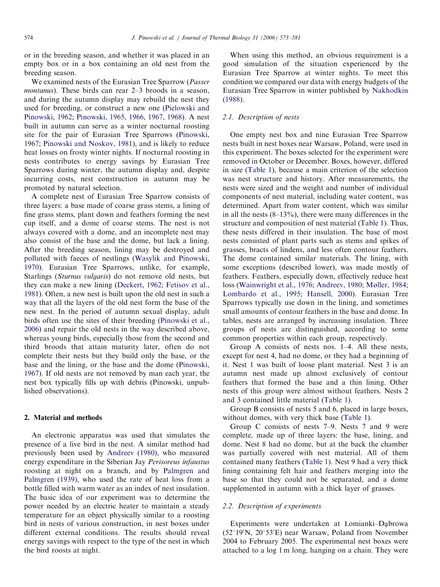or in the breeding season, and whether it was placed in an empty box or in a box containing an old nest from the breeding season.

We examined nests of the Eurasian Tree Sparrow (Passer montanus). These birds can rear 2–3 broods in a season, and during the autumn display may rebuild the nest they used for breeding, or construct a new one [\(Pielowski and](#page-8-0) [Pinowski, 1962;](#page-8-0) [Pinowski, 1965, 1966, 1967, 1968](#page-8-0)). A nest built in autumn can serve as a winter nocturnal roosting site for the pair of Eurasian Tree Sparrows [\(Pinowski,](#page-8-0) [1967;](#page-8-0) [Pinowski and Noskov, 1981](#page-8-0)), and is likely to reduce heat losses on frosty winter nights. If nocturnal roosting in nests contributes to energy savings by Eurasian Tree Sparrows during winter, the autumn display and, despite incurring costs, nest construction in autumn may be promoted by natural selection.

A complete nest of Eurasian Tree Sparrow consists of three layers: a base made of coarse grass stems, a lining of fine grass stems, plant down and feathers forming the nest cup itself, and a dome of coarse stems. The nest is not always covered with a dome, and an incomplete nest may also consist of the base and the dome, but lack a lining. After the breeding season, lining may be destroyed and polluted with faeces of nestlings ([Wasylik and Pinowski,](#page-8-0) [1970\)](#page-8-0). Eurasian Tree Sparrows, unlike, for example, Starlings (Sturnus vulgaris) do not remove old nests, but they can make a new lining ([Deckert, 1962;](#page-7-0) [Fetisov et al.,](#page-7-0) [1981\)](#page-7-0). Often, a new nest is built upon the old nest in such a way that all the layers of the old nest form the base of the new nest. In the period of autumn sexual display, adult birds often use the sites of their breeding [\(Pinowski et al.,](#page-8-0) [2006\)](#page-8-0) and repair the old nests in the way described above, whereas young birds, especially those from the second and third broods that attain maturity later, often do not complete their nests but they build only the base, or the base and the lining, or the base and the dome [\(Pinowski,](#page-8-0) [1967\)](#page-8-0). If old nests are not removed by man each year, the nest box typically fills up with debris (Pinowski, unpublished observations).

#### 2. Material and methods

An electronic apparatus was used that simulates the presence of a live bird in the nest. A similar method had previously been used by [Andreev \(1980\),](#page-7-0) who measured energy expenditure in the Siberian Jay Perisoreus infaustus roosting at night on a branch, and by [Palmgren and](#page-8-0) [Palmgren \(1939\)](#page-8-0), who used the rate of heat loss from a bottle filled with warm water as an index of nest insulation. The basic idea of our experiment was to determine the power needed by an electric heater to maintain a steady temperature for an object physically similar to a roosting bird in nests of various construction, in nest boxes under different external conditions. The results should reveal energy savings with respect to the type of the nest in which the bird roosts at night.

When using this method, an obvious requirement is a good simulation of the situation experienced by the Eurasian Tree Sparrow at winter nights. To meet this condition we compared our data with energy budgets of the Eurasian Tree Sparrow in winter published by [Nakhodkin](#page-7-0) [\(1988\)](#page-7-0).

# 2.1. Description of nests

One empty nest box and nine Eurasian Tree Sparrow nests built in nest boxes near Warsaw, Poland, were used in this experiment. The boxes selected for the experiment were removed in October or December. Boxes, however, differed in size [\(Table 1](#page-2-0)), because a main criterion of the selection was nest structure and history. After measurements, the nests were sized and the weight and number of individual components of nest material, including water content, was determined. Apart from water content, which was similar in all the nests  $(8-13\%)$ , there were many differences in the structure and composition of nest material [\(Table 1\)](#page-2-0). Thus, these nests differed in their insulation. The base of most nests consisted of plant parts such as stems and spikes of grasses, bracts of lindens, and less often contour feathers. The dome contained similar materials. The lining, with some exceptions (described lower), was made mostly of feathers. Feathers, especially down, effectively reduce heat loss ([Wainwright et al., 1976](#page-8-0); [Andreev, 1980](#page-7-0); [Møller, 1984](#page-7-0); [Lombardo et al., 1995;](#page-7-0) [Hansell, 2000](#page-7-0)). Eurasian Tree Sparrows typically use down in the lining, and sometimes small amounts of contour feathers in the base and dome. In tables, nests are arranged by increasing insulation. Three groups of nests are distinguished, according to some common properties within each group, respectively.

Group A consists of nests nos. 1–4. All these nests, except for nest 4, had no dome, or they had a beginning of it. Nest 1 was built of loose plant material. Nest 3 is an autumn nest made up almost exclusively of contour feathers that formed the base and a thin lining. Other nests of this group were almost without feathers. Nests 2 and 3 contained little material ([Table 1](#page-2-0)).

Group B consists of nests 5 and 6, placed in large boxes, without domes, with very thick base [\(Table 1\)](#page-2-0).

Group C consists of nests 7–9. Nests 7 and 9 were complete, made up of three layers: the base, lining, and dome. Nest 8 had no dome, but at the back the chamber was partially covered with nest material. All of them contained many feathers [\(Table 1\)](#page-2-0). Nest 9 had a very thick lining containing felt hair and feathers merging into the base so that they could not be separated, and a dome supplemented in autumn with a thick layer of grasses.

## 2.2. Description of experiments

Experiments were undertaken at *Ł*omianki–Da*˛*browa (52°19'N, 20°53'E) near Warsaw, Poland from November 2004 to February 2005. The experimental nest boxes were attached to a log 1 m long, hanging on a chain. They were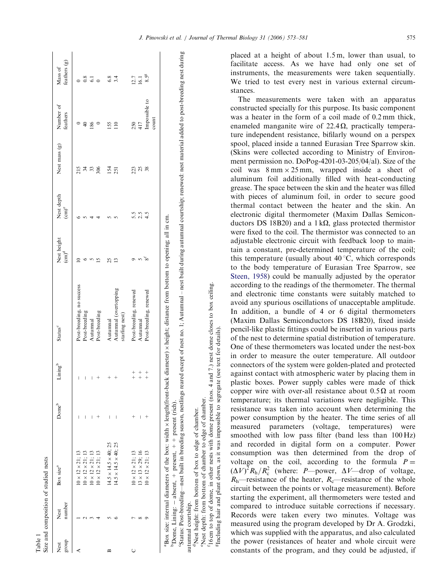<span id="page-2-0"></span>

|   | number<br>Xest | Box size <sup>a</sup>             | Dome <sup>b</sup>        | Lining <sup>b</sup> | <b>Status</b> <sup>c</sup>              | Nest height<br>$\left(\text{cm}\right)^{\text{d}}$ | Nest depth<br>$\rm{ (cm)}^{\rm e}$ | Nest mass (g) | Number of<br>feathers  | feathers (g)<br>Mass of |
|---|----------------|-----------------------------------|--------------------------|---------------------|-----------------------------------------|----------------------------------------------------|------------------------------------|---------------|------------------------|-------------------------|
|   |                | $10 \times 12 \times 21$ ; 13     |                          | $\vert$             | Post-breeding, no success               |                                                    |                                    | 215           |                        |                         |
|   |                | $10 \times 12 \times 21$ ; 13     |                          | $\vert$             | Post-breeding                           |                                                    |                                    | 34            | $\Theta$               | 0.8                     |
|   |                | $10 \times 12 \times 21$ ; 13     |                          | $\mid$              | Autumnal                                |                                                    |                                    | 33            | 186                    | $\overline{61}$         |
|   |                | $10 \times 12 \times 21$ ; 13     |                          | $^{+}$              | Post-breeding                           |                                                    |                                    | 306           |                        |                         |
|   |                | $14.5 \times 14.5 \times 40$ ; 25 |                          | $^{+}$              | Autumnal                                | 25                                                 |                                    | 154           | 155                    | 6.8                     |
|   |                | $14.5 \times 14.5 \times 40$ ; 25 |                          | $^{+}$              | Autumnal (overtopping<br>starling nest) | $\mathbf{r}$                                       |                                    | 251           | 110                    | 3.4                     |
|   |                | $10 \times 12 \times 21$ ; 13     |                          | $+$                 | Post-breeding, renewed                  |                                                    |                                    | 223           | 250                    | 12.7                    |
|   |                | $13 \times 13 \times 29$ ; 16     | I                        | $+$                 | Autumnal                                |                                                    | 2.5                                | 25            | 417                    | 16.1                    |
| ⌒ |                | $10 \times 12 \times 21$ ; 13     | $\overline{\phantom{a}}$ | $+$                 | Post-breeding, renewed                  | $\infty$                                           | 4.5                                | 38            | Impossible to<br>count | 8.5ª                    |

Table 1

"Box size: internal diameters of the box: width x length(front-back diameter) x height; distance from bottom to opening; all in cm.<br>"Dome, Lining: – absent, + present, + + present (rich). bottom to opening; all in cm. stance rioni  $\frac{1}{2}$ **DaCA** BOX SIZE: Internal diameters of the box: Width X length(Iront $b$ Dome, Lining:  $-$  absent,  $+$  present,  $+$  present (rich).  $-$  absent,  $+$  present,  $+$  present (rich).

"Status: Post-breeding-nest built in breeding season, nestlings reared except of nest no. 1; Autumnal - nest built during autumnal courtship; renewed: nest material added to post-breeding nest during cStatus: Post-breeding—nest built in breeding season, nestlings reared except of nest no. 1; Autumnal – nest built during autumnal courtship; renewed: nest material added to post-breeding nest during autumnal courtship.

<sup>d</sup>Nest height: from bottom of box to edge of chamber. autumnal courtship.<br><sup>d</sup>Nest height: from bottom of box to edge of chamber.

"Nest depth: from bottom of chamber to edge of chamber. eNest depth: from bottom of chamber to edge of chamber.

If 6cm to top of dome, in other nests with dome present (nos. 4 and 7.) nest dome closes to box ceiling. f16 cm to top of dome, in other nests with dome present (nos. 4 and 7.) nest dome closes to box ceiling. Including hair and plant down, as it was impossible to segregate (see text for details). gIncluding hair and plant down, as it was impossible to segregate (see text for details).

placed at a height of about 1.5 m, lower than usual, to facilitate access. As we have had only one set of instruments, the measurements were taken sequentially. We tried to test every nest in various external circumstances.

The measurements were taken with an apparatus constructed specially for this purpose. Its basic component was a heater in the form of a coil made of 0.2 mm thick, enameled manganite wire of  $22.4 \Omega$ , practically temperature independent resistance, bifilarly wound on a perspex spool, placed inside a tanned Eurasian Tree Sparrow skin. (Skins were collected according to Ministry of Environment permission no. DoPog-4201-03-205/04/al). Size of the coil was  $8 \text{ mm} \times 25 \text{ mm}$ , wrapped inside a sheet of aluminum foil additionally filled with heat-conducting grease. The space between the skin and the heater was filled with pieces of aluminum foil, in order to secure good thermal contact between the heater and the skin. An electronic digital thermometer (Maxim Dallas Semiconductors DS 18B20) and a 1 k $\Omega$ , glass protected thermistor were fixed to the coil. The thermistor was connected to an adjustable electronic circuit with feedback loop to maintain a constant, pre-determined temperature of the coil; this temperature (usually about  $40^{\circ}$ C, which corresponds to the body temperature of Eurasian Tree Sparrow, see [Steen, 1958](#page-8-0)) could be manually adjusted by the operator according to the readings of the thermometer. The thermal and electronic time constants were suitably matched to avoid any spurious oscillations of unacceptable amplitude. In addition, a bundle of 4 or 6 digital thermometers (Maxim Dallas Semiconductors DS 18B20), fixed inside pencil-like plastic fittings could be inserted in various parts of the nest to determine spatial distribution of temperature. One of these thermometers was located under the nest-box in order to measure the outer temperature. All outdoor connectors of the system were golden-plated and protected against contact with atmospheric water by placing them in plastic boxes. Power supply cables were made of thick copper wire with over-all resistance about  $0.5\Omega$  at room temperature; its thermal variations were negligible. This resistance was taken into account when determining the power consumption by the heater. The time series of all measured parameters (voltage, temperatures) were smoothed with low pass filter (band less than 100 Hz) and recorded in digital form on a computer. Power consumption was then determined from the drop of voltage on the coil, according to the formula  $P =$  $(\Delta V)^2 R_h/R_c^2$  (where: *P*—power,  $\Delta V$ —drop of voltage,  $R_h$ —resistance of the heater,  $R_c$ —resistance of the whole circuit between the points or voltage measurement). Before starting the experiment, all thermometers were tested and compared to introduce suitable corrections if necessary. Records were taken every two minutes. Voltage was measured using the program developed by Dr A. Grodzki, which was supplied with the apparatus, and also calculated the power (resistances of heater and whole circuit were constants of the program, and they could be adjusted, if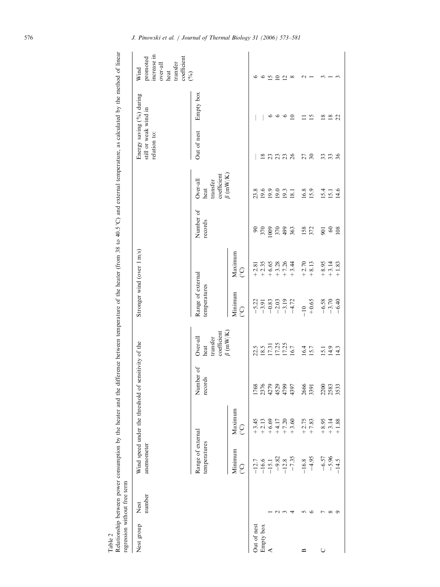| 5 |
|---|
|   |

<span id="page-3-0"></span>Relationship between power consumption by the heater and the difference between temperature of the heater (from 38 to 40.5 °C) and external temperature, as calculated by the method of linear regression without free term

| $-22$             |                |                                   |                                   |                      |                                                               |                                   |                            |                      |                                                               |                                                                   |                 |                                                                                |
|-------------------|----------------|-----------------------------------|-----------------------------------|----------------------|---------------------------------------------------------------|-----------------------------------|----------------------------|----------------------|---------------------------------------------------------------|-------------------------------------------------------------------|-----------------|--------------------------------------------------------------------------------|
| Nest group        | number<br>Nest | anemometer                        | Wind speed under the threshold of | sensitivity of the   |                                                               |                                   | Stronger wind (over 1 m/s) |                      |                                                               | Energy saving (%) during<br>still or weak wind in<br>relation to: |                 | increase in<br>coefficient<br>promoted<br>transfer<br>over-all<br>Wind<br>heat |
|                   |                | Range of external<br>temperatures |                                   | Number of<br>records | coefficient<br>$\beta$ (mW/K)<br>transfer<br>Over-all<br>heat | Range of external<br>temperatures |                            | Number of<br>records | $\beta$ (mW/K)<br>coefficient<br>Over-all<br>transfer<br>heat | Out of nest                                                       | Empty box       | $($ % $)$                                                                      |
|                   |                | Minimum<br>୍ର                     | Maximum<br>ି                      |                      |                                                               | Minimum<br><u>୍</u>               | Maximum<br><u>ု</u>        |                      |                                                               |                                                                   |                 |                                                                                |
| Out of nest       |                | $-12.7$                           | $+3.45$                           | 1768                 | 22.5                                                          |                                   | $+2.81$                    | $\infty$             | 23.8                                                          |                                                                   |                 | ७                                                                              |
| Empty box         |                |                                   |                                   | 2376                 | 18.5                                                          | $-5.22$<br>$-3.91$                | $+2.35$                    | 370                  | 19.6                                                          | $\frac{8}{10}$                                                    |                 | $\circ$                                                                        |
| ⋖                 |                | $-16.6$<br>-15.1                  | $+2.13$<br>+6.69                  | 4279                 | 17.31                                                         | $-0.83$                           | $+6.65$                    | 1009                 | 19.9                                                          |                                                                   |                 | $\overline{5}$                                                                 |
|                   |                | $-9.82$                           |                                   | 4529                 | 17.25                                                         |                                   | $+3.28$                    | 370                  | 19.0                                                          | $3338$                                                            | ७               | $\subseteq$                                                                    |
|                   |                | $-12.8$                           |                                   | 4799                 | 17.25                                                         |                                   | $+7.26$                    | 499                  | 19.3                                                          |                                                                   | $\circ$         | $\mathcal{L}$                                                                  |
|                   |                | $-7.35$                           | $+4.17$<br>$+7.20$<br>$+3.60$     | 4397                 | 16.7                                                          | $-2.03$<br>$-3.19$<br>$-4.72$     | $+3.44$                    | 363                  | 18.1                                                          |                                                                   | $\overline{10}$ | $\infty$                                                                       |
| $\mathbf{\Omega}$ |                | $-16.8$                           | $+2.75$                           | 2666                 | 16.4                                                          | $-10$                             | $+2.70$                    | 158                  | 16.8                                                          | 27                                                                |                 |                                                                                |
|                   |                | $-4.95$                           | $+7.83$                           | 3391                 | 15.7                                                          | $+0.65$                           | $+8.13$                    | 372                  | 15.9                                                          | $\mathfrak{S}$                                                    | $\overline{15}$ |                                                                                |
| $\cup$            |                | $-6.57$                           | $+8.95$                           | 2200                 | 15.1                                                          |                                   | $+8.95$                    | <b>901</b>           | 15.4                                                          | 33                                                                | $\overline{18}$ |                                                                                |
|                   |                | $-5.96$<br>-14.5                  | $+3.14$<br>+1.88                  | 2583<br>3533         | 14.9                                                          | $-6.58$<br>$-3.70$<br>$-6.40$     | $+3.14$                    | $\mbox{6}$           | 15.1                                                          | 38                                                                | 18              |                                                                                |
|                   |                |                                   |                                   |                      | 14.3                                                          |                                   | $+1.83$                    | 108                  | 14.6                                                          |                                                                   | 22              |                                                                                |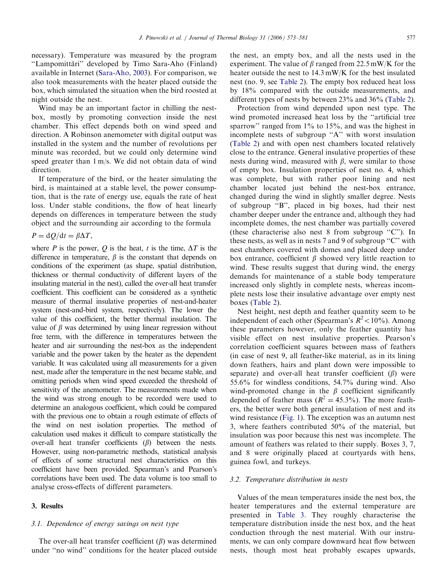necessary). Temperature was measured by the program "Lampomittäri" developed by Timo Sara-Aho (Finland) available in Internet [\(Sara-Aho, 2003\)](#page-8-0). For comparison, we also took measurements with the heater placed outside the box, which simulated the situation when the bird roosted at night outside the nest.

Wind may be an important factor in chilling the nestbox, mostly by promoting convection inside the nest chamber. This effect depends both on wind speed and direction. A Robinson anemometer with digital output was installed in the system and the number of revolutions per minute was recorded, but we could only determine wind speed greater than 1 m/s. We did not obtain data of wind direction.

If temperature of the bird, or the heater simulating the bird, is maintained at a stable level, the power consumption, that is the rate of energy use, equals the rate of heat loss. Under stable conditions, the flow of heat linearly depends on differences in temperature between the study object and the surrounding air according to the formula

# $P = dQ/dt = \beta \Delta T,$

where P is the power, O is the heat, t is the time,  $\Delta T$  is the difference in temperature,  $\beta$  is the constant that depends on conditions of the experiment (as shape, spatial distribution, thickness or thermal conductivity of different layers of the insulating material in the nest), called the over-all heat transfer coefficient. This coefficient can be considered as a synthetic measure of thermal insulative properties of nest-and-heater system (nest-and-bird system, respectively). The lower the value of this coefficient, the better thermal insulation. The value of  $\beta$  was determined by using linear regression without free term, with the difference in temperatures between the heater and air surrounding the nest-box as the independent variable and the power taken by the heater as the dependent variable. It was calculated using all measurements for a given nest, made after the temperature in the nest became stable, and omitting periods when wind speed exceeded the threshold of sensitivity of the anemometer. The measurements made when the wind was strong enough to be recorded were used to determine an analogous coefficient, which could be compared with the previous one to obtain a rough estimate of effects of the wind on nest isolation properties. The method of calculation used makes it difficult to compare statistically the over-all heat transfer coefficients  $(\beta)$  between the nests. However, using non-parametric methods, statistical analysis of effects of some structural nest characteristics on this coefficient have been provided. Spearman's and Pearson's correlations have been used. The data volume is too small to analyse cross-effects of different parameters.

## 3. Results

# 3.1. Dependence of energy savings on nest type

The over-all heat transfer coefficient  $(\beta)$  was determined under ''no wind'' conditions for the heater placed outside the nest, an empty box, and all the nests used in the experiment. The value of  $\beta$  ranged from 22.5 mW/K for the heater outside the nest to 14.3 mW/K for the best insulated nest (no. 9, see [Table 2\)](#page-3-0). The empty box reduced heat loss by 18% compared with the outside measurements, and different types of nests by between 23% and 36% ([Table 2\)](#page-3-0).

Protection from wind depended upon nest type. The wind promoted increased heat loss by the ''artificial tree sparrow" ranged from 1% to 15%, and was the highest in incomplete nests of subgroup ''A'' with worst insulation ([Table 2](#page-3-0)) and with open nest chambers located relatively close to the entrance. General insulative properties of these nests during wind, measured with  $\beta$ , were similar to those of empty box. Insulation properties of nest no. 4, which was complete, but with rather poor lining and nest chamber located just behind the nest-box entrance, changed during the wind in slightly smaller degree. Nests of subgroup ''B'', placed in big boxes, had their nest chamber deeper under the entrance and, although they had incomplete domes, the nest chamber was partially covered (these characterise also nest 8 from subgroup ''C''). In these nests, as well as in nests 7 and 9 of subgroup ''C'' with nest chambers covered with domes and placed deep under box entrance, coefficient  $\beta$  showed very little reaction to wind. These results suggest that during wind, the energy demands for maintenance of a stable body temperature increased only slightly in complete nests, whereas incomplete nests lose their insulative advantage over empty nest boxes [\(Table 2\)](#page-3-0).

Nest height, nest depth and feather quantity seem to be independent of each other (Spearman's  $R^2$  < 10%). Among these parameters however, only the feather quantity has visible effect on nest insulative properties. Pearson's correlation coefficient squares between mass of feathers (in case of nest 9, all feather-like material, as in its lining down feathers, hairs and plant down were impossible to separate) and over-all heat transfer coefficient  $(\beta)$  were 55.6% for windless conditions, 54.7% during wind. Also wind-promoted change in the  $\beta$  coefficient significantly depended of feather mass ( $R^2 = 45.3\%$ ). The more feathers, the better were both general insulation of nest and its wind resistance [\(Fig. 1\)](#page-5-0). The exception was an autumn nest 3, where feathers contributed 50% of the material, but insulation was poor because this nest was incomplete. The amount of feathers was related to their supply. Boxes 3, 7, and 8 were originally placed at courtyards with hens, guinea fowl, and turkeys.

#### 3.2. Temperature distribution in nests

Values of the mean temperatures inside the nest box, the heater temperatures and the external temperature are presented in [Table 3.](#page-6-0) They roughly characterise the temperature distribution inside the nest box, and the heat conduction through the nest material. With our instruments, we can only compare downward heat flow between nests, though most heat probably escapes upwards,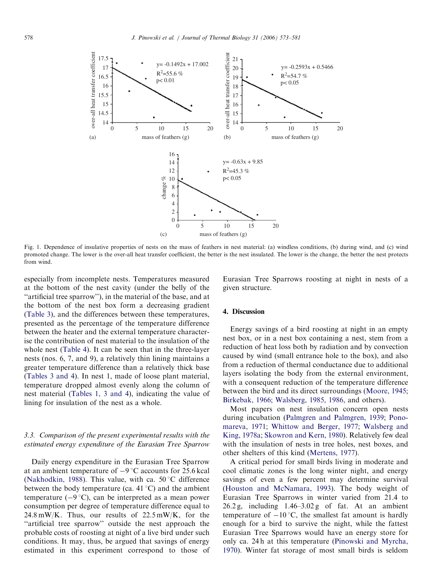<span id="page-5-0"></span>

Fig. 1. Dependence of insulative properties of nests on the mass of feathers in nest material: (a) windless conditions, (b) during wind, and (c) wind promoted change. The lower is the over-all heat transfer coefficient, the better is the nest insulated. The lower is the change, the better the nest protects from wind.

especially from incomplete nests. Temperatures measured at the bottom of the nest cavity (under the belly of the ''artificial tree sparrow''), in the material of the base, and at the bottom of the nest box form a decreasing gradient [\(Table 3\)](#page-6-0), and the differences between these temperatures, presented as the percentage of the temperature difference between the heater and the external temperature characterise the contribution of nest material to the insulation of the whole nest ([Table 4](#page-7-0)). It can be seen that in the three-layer nests (nos. 6, 7, and 9), a relatively thin lining maintains a greater temperature difference than a relatively thick base [\(Tables 3 and 4\)](#page-6-0). In nest 1, made of loose plant material, temperature dropped almost evenly along the column of nest material [\(Tables 1, 3 and 4\)](#page-2-0), indicating the value of lining for insulation of the nest as a whole.

# 3.3. Comparison of the present experimental results with the estimated energy expenditure of the Eurasian Tree Sparrow

Daily energy expenditure in the Eurasian Tree Sparrow at an ambient temperature of  $-9$  °C accounts for 25.6 kcal [\(Nakhodkin, 1988](#page-7-0)). This value, with ca.  $50^{\circ}$ C difference between the body temperature (ca. 41  $\degree$ C) and the ambient temperature  $(-9 \degree C)$ , can be interpreted as a mean power consumption per degree of temperature difference equal to  $24.8 \text{ mW/K}$ . Thus, our results of  $22.5 \text{ mW/K}$ , for the "artificial tree sparrow" outside the nest approach the probable costs of roosting at night of a live bird under such conditions. It may, thus, be argued that savings of energy estimated in this experiment correspond to those of Eurasian Tree Sparrows roosting at night in nests of a given structure.

# 4. Discussion

Energy savings of a bird roosting at night in an empty nest box, or in a nest box containing a nest, stem from a reduction of heat loss both by radiation and by convection caused by wind (small entrance hole to the box), and also from a reduction of thermal conductance due to additional layers isolating the body from the external environment, with a consequent reduction of the temperature difference between the bird and its direct surroundings ([Moore, 1945](#page-7-0); [Birkebak, 1966;](#page-7-0) [Walsberg, 1985, 1986,](#page-8-0) and others).

Most papers on nest insulation concern open nests during incubation [\(Palmgren and Palmgren, 1939;](#page-8-0) [Pono](#page-8-0)[mareva, 1971](#page-8-0); [Whittow and Berger, 1977;](#page-8-0) [Walsberg and](#page-8-0) [King, 1978a](#page-8-0); [Skowron and Kern, 1980](#page-8-0)). Relatively few deal with the insulation of nests in tree holes, nest boxes, and other shelters of this kind [\(Mertens, 1977\)](#page-7-0).

A critical period for small birds living in moderate and cool climatic zones is the long winter night, and energy savings of even a few percent may determine survival [\(Houston and McNamara, 1993](#page-7-0)). The body weight of Eurasian Tree Sparrows in winter varied from 21.4 to  $26.2$  g, including  $1.46-3.02$  g of fat. At an ambient temperature of  $-10$  °C, the smallest fat amount is hardly enough for a bird to survive the night, while the fattest Eurasian Tree Sparrows would have an energy store for only ca. 24 h at this temperature [\(Pinowski and Myrcha,](#page-8-0) [1970\)](#page-8-0). Winter fat storage of most small birds is seldom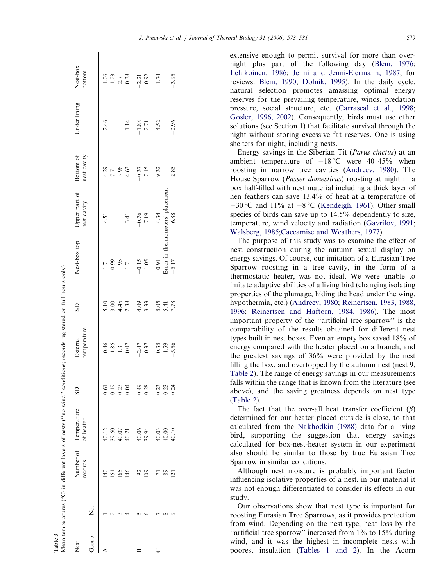<span id="page-6-0"></span>

| Nest   |        | records         | Number of Temperature<br>of heater | $\overline{\mathbf{S}}$   | temperature<br>External                                      | $\overline{\text{S}}$       | Nest-box top                | Upper part of<br>nest cavity     | Bottom of<br>nest cavity                                                      | Under lining    | Nest-box<br>bottom                                  |
|--------|--------|-----------------|------------------------------------|---------------------------|--------------------------------------------------------------|-----------------------------|-----------------------------|----------------------------------|-------------------------------------------------------------------------------|-----------------|-----------------------------------------------------|
| Group  | ò<br>Z |                 |                                    |                           |                                                              |                             |                             |                                  |                                                                               |                 |                                                     |
|        |        | $\frac{40}{5}$  |                                    |                           |                                                              |                             |                             | 4.51                             |                                                                               | 2.46            |                                                     |
|        |        | $\overline{51}$ | 40.12<br>39.50<br>40.07            | ៤ ១ ១ ១<br><b>០ ១ ១</b> ១ |                                                              | 10<br>5.00 4.38<br>5.4.4.21 |                             |                                  | $\begin{array}{c} 20 \\ 7 \cdot 5 \\ 6 \\ 4 \cdot 3 \\ 4 \cdot 5 \end{array}$ |                 | $\frac{13}{12}$<br>$\frac{7}{12}$<br>$\frac{3}{12}$ |
|        |        | 165             |                                    |                           |                                                              |                             |                             |                                  |                                                                               |                 |                                                     |
|        |        | 146             | 40.21                              |                           | $\begin{array}{r} 0.46 \\ -1.85 \\ 1.31 \\ 0.07 \end{array}$ |                             | $\frac{1.7}{-0.99}$<br>1.95 | 3.41                             |                                                                               | 1.14            |                                                     |
| ∞      |        | 2               |                                    |                           |                                                              |                             | $-0.15$                     | $-0.76$                          | $-0.37$                                                                       |                 |                                                     |
|        |        | $\overline{6}$  | 40.06<br>39.94                     | $0.49$<br>$0.28$          | $-2.47$<br>0.37                                              | $4.09$<br>$3.33$            | 1.05                        | 7.19                             | 7.15                                                                          | $-1.88$<br>2.71 | $-2.21$<br>0.92                                     |
| $\cup$ |        | π               |                                    |                           |                                                              |                             | 0.91                        | 4.34                             | 9.32                                                                          | 4.52            | 1.74                                                |
|        |        | 89              | 40.03<br>40.00                     | $0.23$<br>$0.23$          | $-1.59$                                                      | 5.47<br>5.47<br>7.78        |                             | Error in thermometers' placement |                                                                               |                 |                                                     |
|        |        | 121             | 40.10                              | 0.24                      | $-5.56$                                                      |                             | $-5.17$                     | 6.88                             | 2.85                                                                          | $-2.96$         | $-3.95$                                             |

extensive enough to permit survival for more than overnight plus part of the following day [\(Blem, 1976;](#page-7-0) [Lehikoinen, 1986](#page-7-0); [Jenni and Jenni-Eiermann, 1987;](#page-7-0) for reviews: [Blem, 1990](#page-7-0); [Dolnik, 1995\)](#page-7-0). In the daily cycle, natural selection promotes amassing optimal energy reserves for the prevailing temperature, winds, predation pressure, social structure, etc. ([Carrascal et al., 1998;](#page-7-0) [Gosler, 1996, 2002](#page-7-0)). Consequently, birds must use other solutions (see Section 1) that facilitate survival through the night without storing excessive fat reserves. One is using shelters for night, including nests.

Energy savings in the Siberian Tit (Parus cinctus) at an ambient temperature of  $-18\degree C$  were 40–45% when roosting in narrow tree cavities [\(Andreev, 1980\)](#page-7-0). The House Sparrow (Passer domesticus) roosting at night in a box half-filled with nest material including a thick layer of hen feathers can save 13.4% of heat at a temperature of  $-30$  °C and 11% at  $-8$  °C [\(Kendeigh, 1961\)](#page-7-0). Other small species of birds can save up to 14.5% dependently to size, temperature, wind velocity and radiation ([Gavrilov, 1991;](#page-7-0) [Walsberg, 1985;](#page-8-0)[Caccamise and Weathers, 1977](#page-7-0)).

The purpose of this study was to examine the effect of nest construction during the autumn sexual display on energy savings. Of course, our imitation of a Eurasian Tree Sparrow roosting in a tree cavity, in the form of a thermostatic heater, was not ideal. We were unable to imitate adaptive abilities of a living bird (changing isolating properties of the plumage, hiding the head under the wing, hypothermia, etc.) ([Andreev, 1980;](#page-7-0) [Reinertsen, 1983, 1988,](#page-8-0) [1996](#page-8-0); [Reinertsen and Haftorn, 1984, 1986\)](#page-8-0). The most important property of the ''artificial tree sparrow'' is the comparability of the results obtained for different nest types built in nest boxes. Even an empty box saved 18% of energy compared with the heater placed on a branch, and the greatest savings of 36% were provided by the nest filling the box, and overtopped by the autumn nest (nest 9, [Table 2](#page-3-0)). The range of energy savings in our measurements falls within the range that is known from the literature (see above), and the saving greatness depends on nest type ([Table 2](#page-3-0)).

The fact that the over-all heat transfer coefficient  $(\beta)$ determined for our heater placed outside is close, to that calculated from the [Nakhodkin \(1988\)](#page-7-0) data for a living bird, supporting the suggestion that energy savings calculated for box-nest-heater system in our experiment also should be similar to those by true Eurasian Tree Sparrow in similar conditions.

Although nest moisture is probably important factor influencing isolative properties of a nest, in our material it was not enough differentiated to consider its effects in our study.

Our observations show that nest type is important for roosting Eurasian Tree Sparrows, as it provides protection from wind. Depending on the nest type, heat loss by the "artificial tree sparrow" increased from 1% to 15% during wind, and it was the highest in incomplete nests with poorest insulation [\(Tables 1 and 2](#page-2-0)). In the Acorn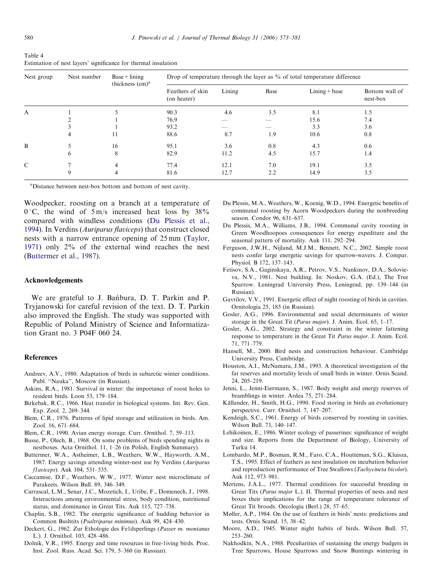<span id="page-7-0"></span>

| Table 4                                                        |  |  |
|----------------------------------------------------------------|--|--|
| Estimation of nest layers' significance for thermal insulation |  |  |

| Nest group  | Nest number | $Base + Iining$    |                                 |        |      | Drop of temperature through the layer as % of total temperature difference |                            |
|-------------|-------------|--------------------|---------------------------------|--------|------|----------------------------------------------------------------------------|----------------------------|
|             |             | thickness $(cm)^a$ | Feathers of skin<br>(on heater) | Lining | Base | $Lining + base$                                                            | Bottom wall of<br>nest-box |
| A           |             |                    | 90.3                            | 4.6    | 3.5  | 8.1                                                                        | 1.5                        |
|             |             |                    | 76.9                            |        |      | 15.6                                                                       | 7.4                        |
|             |             |                    | 93.2                            |        |      | 3.3                                                                        | 3.6                        |
|             | 4           | 11                 | 88.6                            | 8.7    | 1.9  | 10.6                                                                       | 0.8                        |
| B           |             | 16                 | 95.1                            | 3.6    | 0.8  | 4.3                                                                        | 0.6                        |
|             | 6           | 8                  | 82.9                            | 11.2   | 4.5  | 15.7                                                                       | 1.4                        |
| $\mathbf C$ |             |                    | 77.4                            | 12.1   | 7.0  | 19.1                                                                       | 3.5                        |
|             | 9           |                    | 81.6                            | 12.7   | 2.2  | 14.9                                                                       | 3.5                        |

<sup>a</sup>Distance between nest-box bottom and bottom of nest cavity.

Woodpecker, roosting on a branch at a temperature of  $0^{\circ}$ C, the wind of 5 m/s increased heat loss by 38% compared with windless conditions (Du Plessis et al., 1994). In Verdins (Auriparus flaviceps) that construct closed nests with a narrow entrance opening of 25 mm [\(Taylor,](#page-8-0) [1971\)](#page-8-0) only 2% of the external wind reaches the nest (Buttermer et al., 1987).

#### Acknowledgements

We are grateful to J. Ban´bura, D. T. Parkin and P. Tryjanowski for careful revision of the text. D. T. Parkin also improved the English. The study was supported with Republic of Poland Ministry of Science and Informatization Grant no. 3 P04F 060 24.

#### References

- Andreev, A.V., 1980. Adaptation of birds in subarctic winter conditions. Publ. ''Nauka'', Moscow (in Russian).
- Askins, R.A., 1981. Survival in winter: the importance of roost holes to resident birds. Loon 53, 179–184.
- Birkebak, R.C., 1966. Heat transfer in biological systems. Int. Rev. Gen. Exp. Zool. 2, 269–344.
- Blem, C.R., 1976. Patterns of lipid storage and utilization in birds. Am. Zool. 16, 671–684.
- Blem, C.R., 1990. Avian energy storage. Curr. Ornithol. 7, 59–113.
- Busse, P., Olech, B., 1968. On some problems of birds spending nights in nestboxes. Acta Ornithol. 11, 1–26 (in Polish, English Summary).
- Buttermer, W.A., Astheimer, L.B., Weathers, W.W., Hayworth, A.M., 1987. Energy savings attending winter-nest use by Verdins (Auriparus f1aviceps). Auk 104, 531–535.
- Caccamise, D.F., Weathers, W.W., 1977. Winter nest microclimate of Parakeets. Wilson Bull. 89, 346–349.
- Carrascal, L.M., Senar, J.C., Mozetich, I., Uribe, F., Domenech, J., 1998. Interactions among environmental stress, body condition, nutritional status, and dominance in Great Tits. Auk 115, 727–738.
- Chaplin, S.B., 1982. The energetic significance of hudding behavior in Common Bushtits (Psaltriparus minimus). Auk 99, 424–430.
- Deckert, G., 1962. Zur Ethologie des Fe1dsperlings (Passer m. montanus L.). J. Ornithol. 103, 428–486.
- Dolnik, V.R., 1995. Energy and time resources in free-1iving birds. Proc. Inst. Zool. Russ. Acad. Sci. 179, 5–360 (in Russian).
- Du Plessis, M.A., Weathers, W., Koenig, W.D., 1994. Energetic benefits of communal roosting by Acorn Woodpeckers during the nonbreeding season. Condor 96, 631–637.
- Du Plessis, M.A., Williams, J.B., 1994. Communal cavity roosting in Green Woodhoopoes consequences for energy expediture and the seasonal pattern of mortality. Auk 111, 292–294.
- Ferguson, J.W.H., Nijland, M.J.M., Bennett, N.C., 2002. Simple roost nests confer large energetic savings for sparrow-wavers. J. Compar. Physiol. B 172, 137–143.
- Fetisov, S.A., Gaginskaya, A.R., Petrov, V.S., Nankinov, D.A., Solovieva, N.V., 1981. Nest building. In: Noskov, G.A. (Ed.), The Tree Sparrow. Leningrad University Press, Leningrad, pp. 139–144 (in Russian).
- Gavrilov, V.V., 1991. Energetic effect of night roosting of birds in cavities. Ornitologia 25, 185 (in Russian).
- Gosler, A.G., 1996. Environmental and social determinants of winter storage in the Great Tit (Parus major). J. Anim. Ecol. 65, 1–17.
- Gosler, A.G., 2002. Strategy and constraint in the winter fattening response to temperature in the Great Tit Parus major. J. Anim. Ecol. 71, 771–779.
- Hansell, M., 2000. Bird nests and construction behaviour. Cambridge University Press, Cambridge.
- Houston, A.I., McNamara, J.M., 1993. A theoretical investigation of the fat reserves and mortality levels of small birds in winter. Ornis Scand. 24, 205–219.
- Jenni, L., Jenni-Eiermann, S., 1987. Body weight and energy reserves of bramblings in winter. Ardea 75, 271–284.
- Källander, H., Smith, H.G., 1990. Food storing in birds an evolutionary perspective. Curr. Ornithol. 7, 147–207.
- Kendeigh, S.C., 1961. Energy of birds conserved by roosting in cavities. Wilson Bull. 73, 140–147.
- Lehikoinen, E., 1986. Winter ecology of passerines: significance of weight and size. Reports from the Department of Biology, University of Turku 14.
- Lombardo, M.P., Bosman, R.M., Faro, C.A., Houtteman, S.G., Kluisza, T.S., 1995. Effect of feathers as nest insulation on incubation behavior and reproduction performance of Tree Swallows (Tachycineta bicolor). Auk 112, 973–981.
- Mertens, J.A.L., 1977. Thermal conditions for successful breeding in Great Tits (Parus major L.). II. Thermal properties of nests and nest boxes their implications for the range of temperature tolerance of Great Tit broods. Oecologia (Berl.) 28, 57–65.
- Møller, A.P., 1984. On the use of feathers in birds' nests: predictions and tests. Ornis Scand. 15, 38–42.
- Moore, A.D., 1945. Winter night habits of birds. Wilson Bull. 57, 253–260.
- Nakhodkin, N.A., 1988. Peculiarities of sustaining the energy budgets in Tree Sparrows, House Sparrows and Snow Buntings wintering in